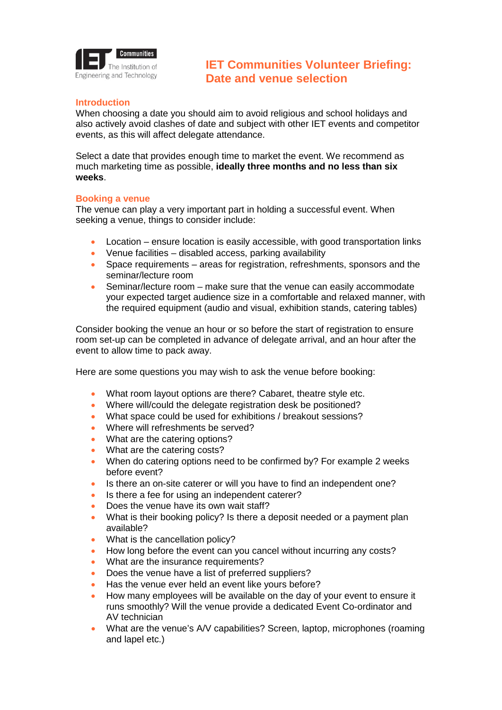

# **Introduction**

When choosing a date you should aim to avoid religious and school holidays and also actively avoid clashes of date and subject with other IET events and competitor events, as this will affect delegate attendance.

Select a date that provides enough time to market the event. We recommend as much marketing time as possible, **ideally three months and no less than six weeks**.

## **Booking a venue**

The venue can play a very important part in holding a successful event. When seeking a venue, things to consider include:

- Location ensure location is easily accessible, with good transportation links
- Venue facilities disabled access, parking availability
- Space requirements areas for registration, refreshments, sponsors and the seminar/lecture room
- Seminar/lecture room make sure that the venue can easily accommodate your expected target audience size in a comfortable and relaxed manner, with the required equipment (audio and visual, exhibition stands, catering tables)

Consider booking the venue an hour or so before the start of registration to ensure room set-up can be completed in advance of delegate arrival, and an hour after the event to allow time to pack away.

Here are some questions you may wish to ask the venue before booking:

- What room layout options are there? Cabaret, theatre style etc.
- Where will/could the delegate registration desk be positioned?
- What space could be used for exhibitions / breakout sessions?
- Where will refreshments be served?
- What are the catering options?
- What are the catering costs?
- When do catering options need to be confirmed by? For example 2 weeks before event?
- Is there an on-site caterer or will you have to find an independent one?
- Is there a fee for using an independent caterer?
- Does the venue have its own wait staff?
- What is their booking policy? Is there a deposit needed or a payment plan available?
- What is the cancellation policy?
- How long before the event can you cancel without incurring any costs?
- What are the insurance requirements?
- Does the venue have a list of preferred suppliers?
- Has the venue ever held an event like yours before?
- How many employees will be available on the day of your event to ensure it runs smoothly? Will the venue provide a dedicated Event Co-ordinator and AV technician
- What are the venue's A/V capabilities? Screen, laptop, microphones (roaming and lapel etc.)